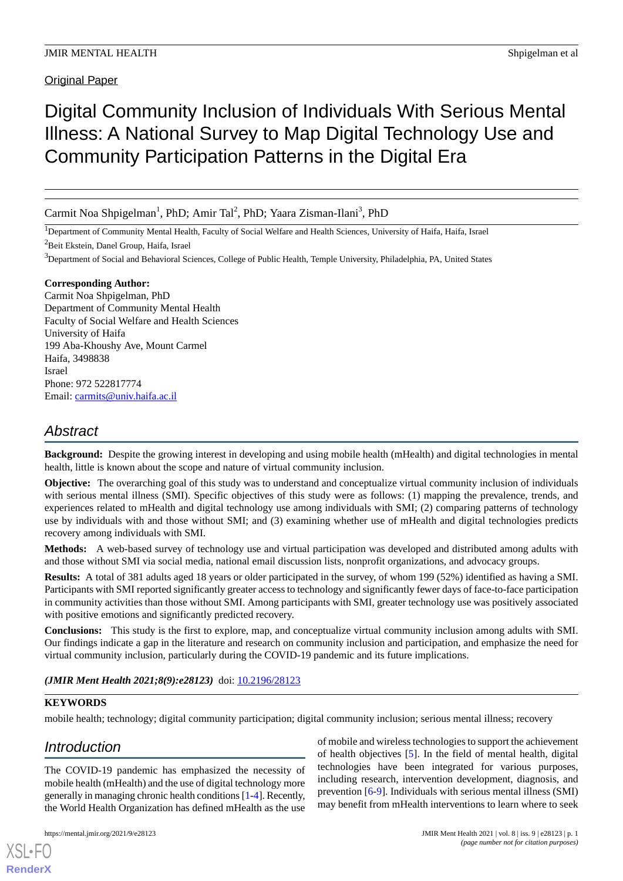**Original Paper** 

# Digital Community Inclusion of Individuals With Serious Mental Illness: A National Survey to Map Digital Technology Use and Community Participation Patterns in the Digital Era

Carmit Noa Shpigelman<sup>1</sup>, PhD; Amir Tal<sup>2</sup>, PhD; Yaara Zisman-Ilani<sup>3</sup>, PhD

<sup>1</sup>Department of Community Mental Health, Faculty of Social Welfare and Health Sciences, University of Haifa, Haifa, Israel

<sup>2</sup>Beit Ekstein, Danel Group, Haifa, Israel

<sup>3</sup>Department of Social and Behavioral Sciences, College of Public Health, Temple University, Philadelphia, PA, United States

# **Corresponding Author:**

Carmit Noa Shpigelman, PhD Department of Community Mental Health Faculty of Social Welfare and Health Sciences University of Haifa 199 Aba-Khoushy Ave, Mount Carmel Haifa, 3498838 Israel Phone: 972 522817774 Email: [carmits@univ.haifa.ac.il](mailto:carmits@univ.haifa.ac.il)

# *Abstract*

**Background:** Despite the growing interest in developing and using mobile health (mHealth) and digital technologies in mental health, little is known about the scope and nature of virtual community inclusion.

**Objective:** The overarching goal of this study was to understand and conceptualize virtual community inclusion of individuals with serious mental illness (SMI). Specific objectives of this study were as follows: (1) mapping the prevalence, trends, and experiences related to mHealth and digital technology use among individuals with SMI; (2) comparing patterns of technology use by individuals with and those without SMI; and (3) examining whether use of mHealth and digital technologies predicts recovery among individuals with SMI.

**Methods:** A web-based survey of technology use and virtual participation was developed and distributed among adults with and those without SMI via social media, national email discussion lists, nonprofit organizations, and advocacy groups.

**Results:** A total of 381 adults aged 18 years or older participated in the survey, of whom 199 (52%) identified as having a SMI. Participants with SMI reported significantly greater access to technology and significantly fewer days of face-to-face participation in community activities than those without SMI. Among participants with SMI, greater technology use was positively associated with positive emotions and significantly predicted recovery.

**Conclusions:** This study is the first to explore, map, and conceptualize virtual community inclusion among adults with SMI. Our findings indicate a gap in the literature and research on community inclusion and participation, and emphasize the need for virtual community inclusion, particularly during the COVID-19 pandemic and its future implications.

# (JMIR Ment Health 2021;8(9):e28123) doi: [10.2196/28123](http://dx.doi.org/10.2196/28123)

# **KEYWORDS**

mobile health; technology; digital community participation; digital community inclusion; serious mental illness; recovery

# *Introduction*

[XSL](http://www.w3.org/Style/XSL)•FO **[RenderX](http://www.renderx.com/)**

The COVID-19 pandemic has emphasized the necessity of mobile health (mHealth) and the use of digital technology more generally in managing chronic health conditions [\[1](#page-6-0)[-4](#page-6-1)]. Recently, the World Health Organization has defined mHealth as the use

of mobile and wireless technologies to support the achievement of health objectives [\[5\]](#page-6-2). In the field of mental health, digital technologies have been integrated for various purposes, including research, intervention development, diagnosis, and prevention [[6-](#page-6-3)[9\]](#page-6-4). Individuals with serious mental illness (SMI) may benefit from mHealth interventions to learn where to seek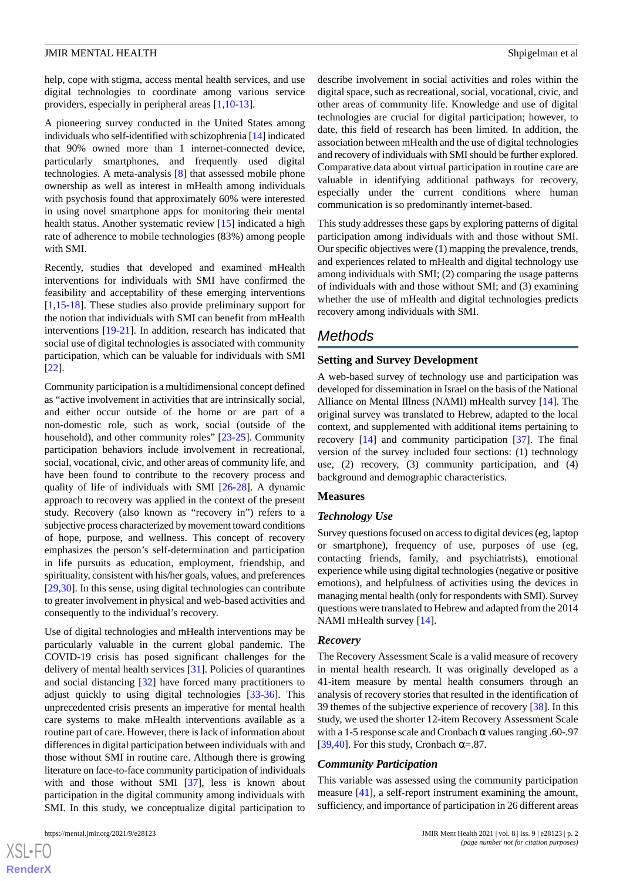help, cope with stigma, access mental health services, and use digital technologies to coordinate among various service providers, especially in peripheral areas [\[1](#page-6-0),[10-](#page-6-5)[13](#page-6-6)].

A pioneering survey conducted in the United States among individuals who self-identified with schizophrenia [\[14\]](#page-6-7) indicated that 90% owned more than 1 internet-connected device, particularly smartphones, and frequently used digital technologies. A meta-analysis [\[8](#page-6-8)] that assessed mobile phone ownership as well as interest in mHealth among individuals with psychosis found that approximately 60% were interested in using novel smartphone apps for monitoring their mental health status. Another systematic review [\[15](#page-6-9)] indicated a high rate of adherence to mobile technologies (83%) among people with SMI.

Recently, studies that developed and examined mHealth interventions for individuals with SMI have confirmed the feasibility and acceptability of these emerging interventions [[1](#page-6-0)[,15](#page-6-9)-[18\]](#page-7-0). These studies also provide preliminary support for the notion that individuals with SMI can benefit from mHealth interventions [\[19](#page-7-1)[-21](#page-7-2)]. In addition, research has indicated that social use of digital technologies is associated with community participation, which can be valuable for individuals with SMI [[22\]](#page-7-3).

Community participation is a multidimensional concept defined as "active involvement in activities that are intrinsically social, and either occur outside of the home or are part of a non-domestic role, such as work, social (outside of the household), and other community roles" [[23-](#page-7-4)[25](#page-7-5)]. Community participation behaviors include involvement in recreational, social, vocational, civic, and other areas of community life, and have been found to contribute to the recovery process and quality of life of individuals with SMI [\[26](#page-7-6)-[28\]](#page-7-7). A dynamic approach to recovery was applied in the context of the present study. Recovery (also known as "recovery in") refers to a subjective process characterized by movement toward conditions of hope, purpose, and wellness. This concept of recovery emphasizes the person's self-determination and participation in life pursuits as education, employment, friendship, and spirituality, consistent with his/her goals, values, and preferences [[29](#page-7-8)[,30](#page-7-9)]. In this sense, using digital technologies can contribute to greater involvement in physical and web-based activities and consequently to the individual's recovery.

Use of digital technologies and mHealth interventions may be particularly valuable in the current global pandemic. The COVID-19 crisis has posed significant challenges for the delivery of mental health services [\[31](#page-7-10)]. Policies of quarantines and social distancing [[32\]](#page-7-11) have forced many practitioners to adjust quickly to using digital technologies [\[33](#page-7-12)[-36](#page-7-13)]. This unprecedented crisis presents an imperative for mental health care systems to make mHealth interventions available as a routine part of care. However, there is lack of information about differences in digital participation between individuals with and those without SMI in routine care. Although there is growing literature on face-to-face community participation of individuals with and those without SMI [\[37](#page-7-14)], less is known about participation in the digital community among individuals with SMI. In this study, we conceptualize digital participation to

describe involvement in social activities and roles within the digital space, such as recreational, social, vocational, civic, and other areas of community life. Knowledge and use of digital technologies are crucial for digital participation; however, to date, this field of research has been limited. In addition, the association between mHealth and the use of digital technologies and recovery of individuals with SMI should be further explored. Comparative data about virtual participation in routine care are valuable in identifying additional pathways for recovery, especially under the current conditions where human communication is so predominantly internet-based.

This study addresses these gaps by exploring patterns of digital participation among individuals with and those without SMI. Our specific objectives were (1) mapping the prevalence, trends, and experiences related to mHealth and digital technology use among individuals with SMI; (2) comparing the usage patterns of individuals with and those without SMI; and (3) examining whether the use of mHealth and digital technologies predicts recovery among individuals with SMI.

# *Methods*

#### **Setting and Survey Development**

A web-based survey of technology use and participation was developed for dissemination in Israel on the basis of the National Alliance on Mental Illness (NAMI) mHealth survey [[14\]](#page-6-7). The original survey was translated to Hebrew, adapted to the local context, and supplemented with additional items pertaining to recovery [[14\]](#page-6-7) and community participation [\[37](#page-7-14)]. The final version of the survey included four sections: (1) technology use, (2) recovery, (3) community participation, and (4) background and demographic characteristics.

#### **Measures**

#### *Technology Use*

Survey questions focused on access to digital devices (eg, laptop or smartphone), frequency of use, purposes of use (eg, contacting friends, family, and psychiatrists), emotional experience while using digital technologies (negative or positive emotions), and helpfulness of activities using the devices in managing mental health (only for respondents with SMI). Survey questions were translated to Hebrew and adapted from the 2014 NAMI mHealth survey [[14\]](#page-6-7).

#### *Recovery*

The Recovery Assessment Scale is a valid measure of recovery in mental health research. It was originally developed as a 41-item measure by mental health consumers through an analysis of recovery stories that resulted in the identification of 39 themes of the subjective experience of recovery [[38\]](#page-7-15). In this study, we used the shorter 12-item Recovery Assessment Scale with a 1-5 response scale and Cronbach  $\alpha$  values ranging .60-.97 [[39,](#page-7-16)[40\]](#page-8-0). For this study, Cronbach  $\alpha = 0.87$ .

#### *Community Participation*

This variable was assessed using the community participation measure [\[41](#page-8-1)], a self-report instrument examining the amount, sufficiency, and importance of participation in 26 different areas

 $XS$ -FO **[RenderX](http://www.renderx.com/)**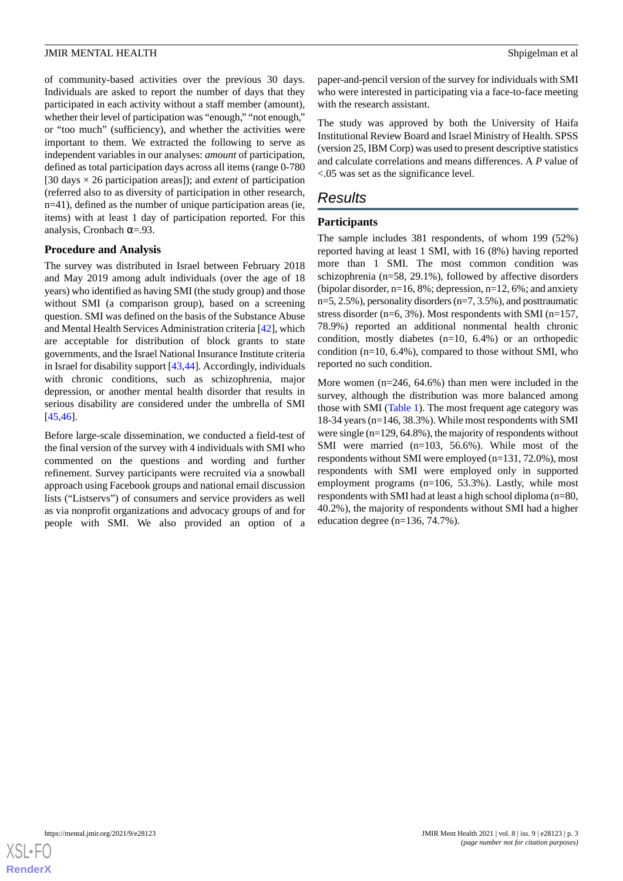of community-based activities over the previous 30 days. Individuals are asked to report the number of days that they participated in each activity without a staff member (amount), whether their level of participation was "enough," "not enough," or "too much" (sufficiency), and whether the activities were important to them. We extracted the following to serve as independent variables in our analyses: *amount* of participation, defined as total participation days across all items (range 0-780 [30 days × 26 participation areas]); and *extent* of participation (referred also to as diversity of participation in other research, n=41), defined as the number of unique participation areas (ie, items) with at least 1 day of participation reported. For this analysis, Cronbach  $\alpha = .93$ .

# **Procedure and Analysis**

The survey was distributed in Israel between February 2018 and May 2019 among adult individuals (over the age of 18 years) who identified as having SMI (the study group) and those without SMI (a comparison group), based on a screening question. SMI was defined on the basis of the Substance Abuse and Mental Health Services Administration criteria [[42\]](#page-8-2), which are acceptable for distribution of block grants to state governments, and the Israel National Insurance Institute criteria in Israel for disability support [\[43](#page-8-3)[,44](#page-8-4)]. Accordingly, individuals with chronic conditions, such as schizophrenia, major depression, or another mental health disorder that results in serious disability are considered under the umbrella of SMI [[45](#page-8-5)[,46](#page-8-6)].

Before large-scale dissemination, we conducted a field-test of the final version of the survey with 4 individuals with SMI who commented on the questions and wording and further refinement. Survey participants were recruited via a snowball approach using Facebook groups and national email discussion lists ("Listservs") of consumers and service providers as well as via nonprofit organizations and advocacy groups of and for people with SMI. We also provided an option of a

paper-and-pencil version of the survey for individuals with SMI who were interested in participating via a face-to-face meeting with the research assistant.

The study was approved by both the University of Haifa Institutional Review Board and Israel Ministry of Health. SPSS (version 25, IBM Corp) was used to present descriptive statistics and calculate correlations and means differences. A *P* value of <.05 was set as the significance level.

# *Results*

#### **Participants**

The sample includes 381 respondents, of whom 199 (52%) reported having at least 1 SMI, with 16 (8%) having reported more than 1 SMI. The most common condition was schizophrenia (n=58, 29.1%), followed by affective disorders (bipolar disorder, n=16, 8%; depression, n=12, 6%; and anxiety n=5, 2.5%), personality disorders (n=7, 3.5%), and posttraumatic stress disorder ( $n=6$ , 3%). Most respondents with SMI ( $n=157$ , 78.9%) reported an additional nonmental health chronic condition, mostly diabetes (n=10, 6.4%) or an orthopedic condition  $(n=10, 6.4\%)$ , compared to those without SMI, who reported no such condition.

More women (n=246, 64.6%) than men were included in the survey, although the distribution was more balanced among those with SMI ([Table 1](#page-3-0)). The most frequent age category was 18-34 years (n=146, 38.3%). While most respondents with SMI were single (n=129, 64.8%), the majority of respondents without SMI were married (n=103, 56.6%). While most of the respondents without SMI were employed (n=131, 72.0%), most respondents with SMI were employed only in supported employment programs (n=106, 53.3%). Lastly, while most respondents with SMI had at least a high school diploma (n=80, 40.2%), the majority of respondents without SMI had a higher education degree (n=136, 74.7%).

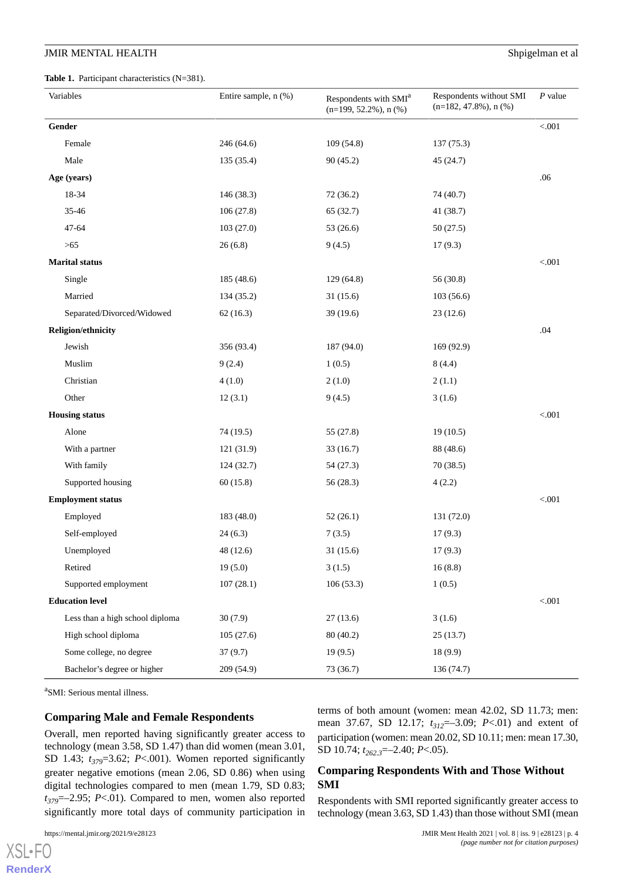<span id="page-3-0"></span>**Table 1.** Participant characteristics (N=381).

| Variables                       | Entire sample, n (%) | Respondents with SMI <sup>a</sup><br>$(n=199, 52.2\%)$ , n $(\%)$ | Respondents without SMI<br>$(n=182, 47.8\%)$ , n $(\%)$ | $P$ value |
|---------------------------------|----------------------|-------------------------------------------------------------------|---------------------------------------------------------|-----------|
| Gender                          |                      |                                                                   |                                                         | $< 001$   |
| Female                          | 246 (64.6)           | 109(54.8)                                                         | 137(75.3)                                               |           |
| Male                            | 135 (35.4)           | 90(45.2)                                                          | 45 (24.7)                                               |           |
| Age (years)                     |                      |                                                                   |                                                         | .06       |
| 18-34                           | 146 (38.3)           | 72 (36.2)                                                         | 74 (40.7)                                               |           |
| 35-46                           | 106(27.8)            | 65 (32.7)                                                         | 41 (38.7)                                               |           |
| $47 - 64$                       | 103(27.0)            | 53 (26.6)                                                         | 50(27.5)                                                |           |
| $>65$                           | 26(6.8)              | 9(4.5)                                                            | 17(9.3)                                                 |           |
| <b>Marital</b> status           |                      |                                                                   |                                                         | < 0.001   |
| Single                          | 185 (48.6)           | 129 (64.8)                                                        | 56 (30.8)                                               |           |
| Married                         | 134 (35.2)           | 31(15.6)                                                          | 103(56.6)                                               |           |
| Separated/Divorced/Widowed      | 62(16.3)             | 39(19.6)                                                          | 23(12.6)                                                |           |
| <b>Religion/ethnicity</b>       |                      |                                                                   |                                                         | .04       |
| Jewish                          | 356 (93.4)           | 187 (94.0)                                                        | 169 (92.9)                                              |           |
| Muslim                          | 9(2.4)               | 1(0.5)                                                            | 8(4.4)                                                  |           |
| Christian                       | 4(1.0)               | 2(1.0)                                                            | 2(1.1)                                                  |           |
| Other                           | 12(3.1)              | 9(4.5)                                                            | 3(1.6)                                                  |           |
| <b>Housing status</b>           |                      |                                                                   |                                                         | < 0.001   |
| Alone                           | 74 (19.5)            | 55 (27.8)                                                         | 19(10.5)                                                |           |
| With a partner                  | 121 (31.9)           | 33(16.7)                                                          | 88 (48.6)                                               |           |
| With family                     | 124(32.7)            | 54 (27.3)                                                         | 70 (38.5)                                               |           |
| Supported housing               | 60(15.8)             | 56(28.3)                                                          | 4(2.2)                                                  |           |
| <b>Employment status</b>        |                      |                                                                   |                                                         | < 0.001   |
| Employed                        | 183 (48.0)           | 52(26.1)                                                          | 131 (72.0)                                              |           |
| Self-employed                   | 24(6.3)              | 7(3.5)                                                            | 17(9.3)                                                 |           |
| Unemployed                      | 48 (12.6)            | 31(15.6)                                                          | 17(9.3)                                                 |           |
| Retired                         | 19(5.0)              | 3(1.5)                                                            | 16(8.8)                                                 |           |
| Supported employment            | 107(28.1)            | 106(53.3)                                                         | 1(0.5)                                                  |           |
| <b>Education level</b>          |                      |                                                                   |                                                         | $< 001$   |
| Less than a high school diploma | 30(7.9)              | 27(13.6)                                                          | 3(1.6)                                                  |           |
| High school diploma             | 105(27.6)            | 80 (40.2)                                                         | 25(13.7)                                                |           |
| Some college, no degree         | 37(9.7)              | 19(9.5)                                                           | 18 (9.9)                                                |           |
| Bachelor's degree or higher     | 209(54.9)            | 73 (36.7)                                                         | 136 (74.7)                                              |           |

a SMI: Serious mental illness.

#### **Comparing Male and Female Respondents**

Overall, men reported having significantly greater access to technology (mean 3.58, SD 1.47) than did women (mean 3.01, SD 1.43; *t379*=3.62; *P*<.001). Women reported significantly greater negative emotions (mean 2.06, SD 0.86) when using digital technologies compared to men (mean 1.79, SD 0.83; *t379*=–2.95; *P*<.01). Compared to men, women also reported significantly more total days of community participation in

[XSL](http://www.w3.org/Style/XSL)•FO **[RenderX](http://www.renderx.com/)**

terms of both amount (women: mean 42.02, SD 11.73; men: mean 37.67, SD 12.17; *t312*=–3.09; *P*<.01) and extent of participation (women: mean 20.02, SD 10.11; men: mean 17.30, SD 10.74; *t262.3*=–2.40; *P*<.05).

# **Comparing Respondents With and Those Without SMI**

Respondents with SMI reported significantly greater access to technology (mean 3.63, SD 1.43) than those without SMI (mean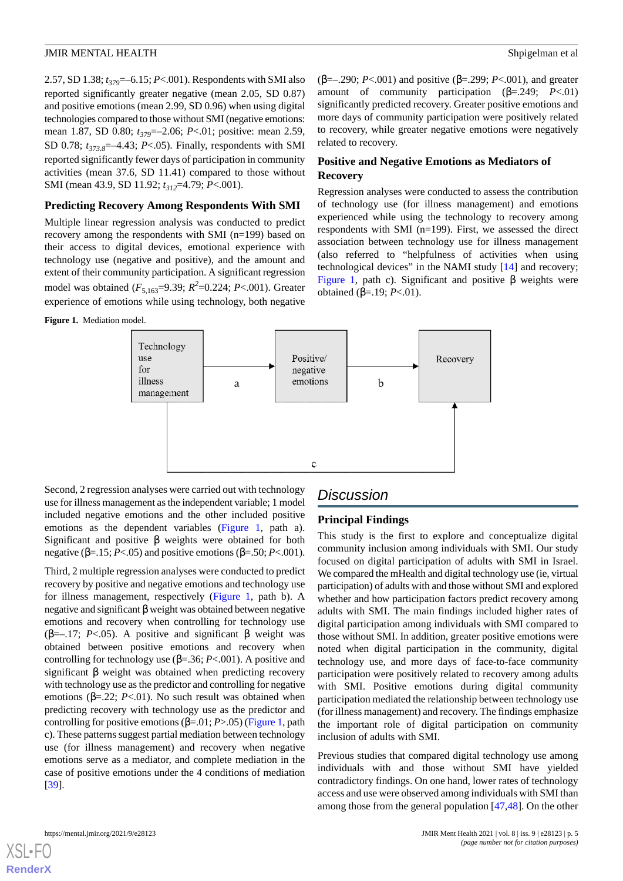(β=–.290; *P*<.001) and positive (β=.299; *P*<.001), and greater amount of community participation (β=.249; *P*<.01) significantly predicted recovery. Greater positive emotions and more days of community participation were positively related to recovery, while greater negative emotions were negatively

**Positive and Negative Emotions as Mediators of**

Regression analyses were conducted to assess the contribution of technology use (for illness management) and emotions experienced while using the technology to recovery among respondents with SMI (n=199). First, we assessed the direct association between technology use for illness management (also referred to "helpfulness of activities when using technological devices" in the NAMI study [\[14](#page-6-7)] and recovery; [Figure 1,](#page-4-0) path c). Significant and positive  $β$  weights were

2.57, SD 1.38; *t379*=–6.15; *P*<.001). Respondents with SMI also reported significantly greater negative (mean 2.05, SD 0.87) and positive emotions (mean 2.99, SD 0.96) when using digital technologies compared to those without SMI (negative emotions: mean 1.87, SD 0.80; *t379*=–2.06; *P*<.01; positive: mean 2.59, SD 0.78;  $t_{373.8}$ =-4.43; *P*<.05). Finally, respondents with SMI reported significantly fewer days of participation in community activities (mean 37.6, SD 11.41) compared to those without SMI (mean 43.9, SD 11.92; *t312*=4.79; *P*<.001).

### **Predicting Recovery Among Respondents With SMI**

Multiple linear regression analysis was conducted to predict recovery among the respondents with SMI (n=199) based on their access to digital devices, emotional experience with technology use (negative and positive), and the amount and extent of their community participation. A significant regression model was obtained ( $F_{5,163}$ =9.39;  $R^2$ =0.224; *P*<.001). Greater experience of emotions while using technology, both negative

<span id="page-4-0"></span>**Figure 1.** Mediation model.



Second, 2 regression analyses were carried out with technology use for illness management as the independent variable; 1 model included negative emotions and the other included positive emotions as the dependent variables ([Figure 1](#page-4-0), path a). Significant and positive β weights were obtained for both negative ( $\beta$ =.15; *P*<.05) and positive emotions ( $\beta$ =.50; *P*<.001).

Third, 2 multiple regression analyses were conducted to predict recovery by positive and negative emotions and technology use for illness management, respectively ([Figure 1,](#page-4-0) path b). A negative and significant β weight was obtained between negative emotions and recovery when controlling for technology use ( $\beta$ =–.17; *P*<.05). A positive and significant  $\beta$  weight was obtained between positive emotions and recovery when controlling for technology use (β=.36; *P*<.001). A positive and significant β weight was obtained when predicting recovery with technology use as the predictor and controlling for negative emotions ( $\beta$ =.22; *P*<.01). No such result was obtained when predicting recovery with technology use as the predictor and controlling for positive emotions (β=.01; *P*>.05) [\(Figure 1](#page-4-0), path c). These patterns suggest partial mediation between technology use (for illness management) and recovery when negative emotions serve as a mediator, and complete mediation in the case of positive emotions under the 4 conditions of mediation [[39\]](#page-7-16).

# *Discussion*

related to recovery.

obtained (β=.19; *P*<.01).

**Recovery**

### **Principal Findings**

This study is the first to explore and conceptualize digital community inclusion among individuals with SMI. Our study focused on digital participation of adults with SMI in Israel. We compared the mHealth and digital technology use (ie, virtual participation) of adults with and those without SMI and explored whether and how participation factors predict recovery among adults with SMI. The main findings included higher rates of digital participation among individuals with SMI compared to those without SMI. In addition, greater positive emotions were noted when digital participation in the community, digital technology use, and more days of face-to-face community participation were positively related to recovery among adults with SMI. Positive emotions during digital community participation mediated the relationship between technology use (for illness management) and recovery. The findings emphasize the important role of digital participation on community inclusion of adults with SMI.

Previous studies that compared digital technology use among individuals with and those without SMI have yielded contradictory findings. On one hand, lower rates of technology access and use were observed among individuals with SMI than among those from the general population [[47,](#page-8-7)[48](#page-8-8)]. On the other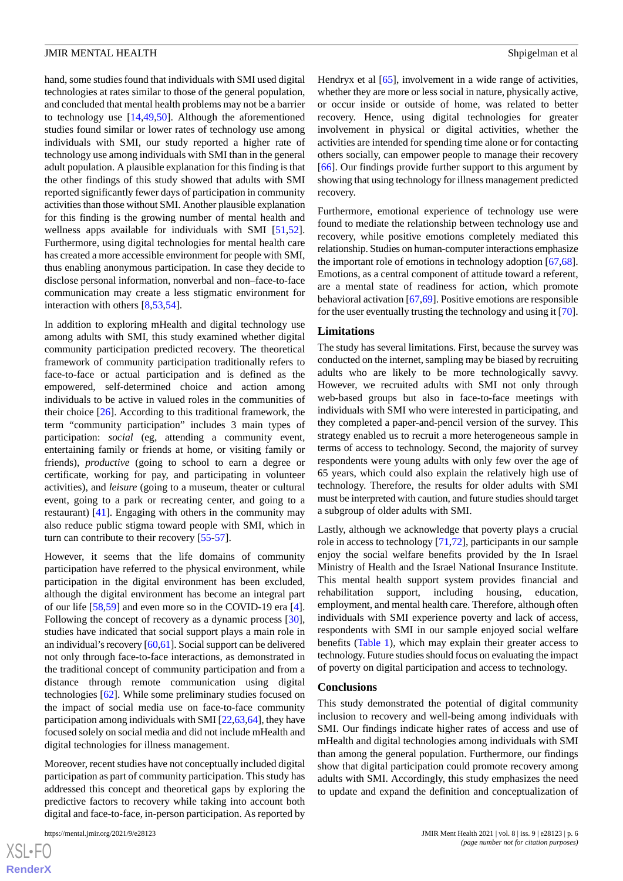hand, some studies found that individuals with SMI used digital technologies at rates similar to those of the general population, and concluded that mental health problems may not be a barrier to technology use [[14,](#page-6-7)[49](#page-8-9),[50\]](#page-8-10). Although the aforementioned studies found similar or lower rates of technology use among individuals with SMI, our study reported a higher rate of technology use among individuals with SMI than in the general adult population. A plausible explanation for this finding is that the other findings of this study showed that adults with SMI reported significantly fewer days of participation in community activities than those without SMI. Another plausible explanation for this finding is the growing number of mental health and wellness apps available for individuals with SMI [\[51](#page-8-11),[52\]](#page-8-12). Furthermore, using digital technologies for mental health care has created a more accessible environment for people with SMI, thus enabling anonymous participation. In case they decide to disclose personal information, nonverbal and non–face-to-face communication may create a less stigmatic environment for interaction with others [\[8](#page-6-8),[53](#page-8-13)[,54](#page-8-14)].

In addition to exploring mHealth and digital technology use among adults with SMI, this study examined whether digital community participation predicted recovery. The theoretical framework of community participation traditionally refers to face-to-face or actual participation and is defined as the empowered, self-determined choice and action among individuals to be active in valued roles in the communities of their choice [[26\]](#page-7-6). According to this traditional framework, the term "community participation" includes 3 main types of participation: *social* (eg, attending a community event, entertaining family or friends at home, or visiting family or friends), *productive* (going to school to earn a degree or certificate, working for pay, and participating in volunteer activities), and *leisure* (going to a museum, theater or cultural event, going to a park or recreating center, and going to a restaurant) [[41\]](#page-8-1). Engaging with others in the community may also reduce public stigma toward people with SMI, which in turn can contribute to their recovery [[55](#page-8-15)[-57](#page-8-16)].

However, it seems that the life domains of community participation have referred to the physical environment, while participation in the digital environment has been excluded, although the digital environment has become an integral part of our life [[58](#page-8-17)[,59](#page-8-18)] and even more so in the COVID-19 era [[4\]](#page-6-1). Following the concept of recovery as a dynamic process [[30\]](#page-7-9), studies have indicated that social support plays a main role in an individual's recovery [\[60](#page-8-19)[,61](#page-8-20)]. Social support can be delivered not only through face-to-face interactions, as demonstrated in the traditional concept of community participation and from a distance through remote communication using digital technologies [\[62](#page-8-21)]. While some preliminary studies focused on the impact of social media use on face-to-face community participation among individuals with SMI [[22](#page-7-3)[,63](#page-8-22),[64\]](#page-9-0), they have focused solely on social media and did not include mHealth and digital technologies for illness management.

Moreover, recent studies have not conceptually included digital participation as part of community participation. This study has addressed this concept and theoretical gaps by exploring the predictive factors to recovery while taking into account both digital and face-to-face, in-person participation. As reported by

[XSL](http://www.w3.org/Style/XSL)•FO **[RenderX](http://www.renderx.com/)** Hendryx et al [[65\]](#page-9-1), involvement in a wide range of activities, whether they are more or less social in nature, physically active, or occur inside or outside of home, was related to better recovery. Hence, using digital technologies for greater involvement in physical or digital activities, whether the activities are intended for spending time alone or for contacting others socially, can empower people to manage their recovery [[66\]](#page-9-2). Our findings provide further support to this argument by showing that using technology for illness management predicted recovery.

Furthermore, emotional experience of technology use were found to mediate the relationship between technology use and recovery, while positive emotions completely mediated this relationship. Studies on human-computer interactions emphasize the important role of emotions in technology adoption [\[67](#page-9-3),[68\]](#page-9-4). Emotions, as a central component of attitude toward a referent, are a mental state of readiness for action, which promote behavioral activation [\[67](#page-9-3),[69\]](#page-9-5). Positive emotions are responsible for the user eventually trusting the technology and using it [[70\]](#page-9-6).

#### **Limitations**

The study has several limitations. First, because the survey was conducted on the internet, sampling may be biased by recruiting adults who are likely to be more technologically savvy. However, we recruited adults with SMI not only through web-based groups but also in face-to-face meetings with individuals with SMI who were interested in participating, and they completed a paper-and-pencil version of the survey. This strategy enabled us to recruit a more heterogeneous sample in terms of access to technology. Second, the majority of survey respondents were young adults with only few over the age of 65 years, which could also explain the relatively high use of technology. Therefore, the results for older adults with SMI must be interpreted with caution, and future studies should target a subgroup of older adults with SMI.

Lastly, although we acknowledge that poverty plays a crucial role in access to technology [\[71](#page-9-7),[72\]](#page-9-8), participants in our sample enjoy the social welfare benefits provided by the In Israel Ministry of Health and the Israel National Insurance Institute. This mental health support system provides financial and rehabilitation support, including housing, education, employment, and mental health care. Therefore, although often individuals with SMI experience poverty and lack of access, respondents with SMI in our sample enjoyed social welfare benefits ([Table 1](#page-3-0)), which may explain their greater access to technology. Future studies should focus on evaluating the impact of poverty on digital participation and access to technology.

#### **Conclusions**

This study demonstrated the potential of digital community inclusion to recovery and well-being among individuals with SMI. Our findings indicate higher rates of access and use of mHealth and digital technologies among individuals with SMI than among the general population. Furthermore, our findings show that digital participation could promote recovery among adults with SMI. Accordingly, this study emphasizes the need to update and expand the definition and conceptualization of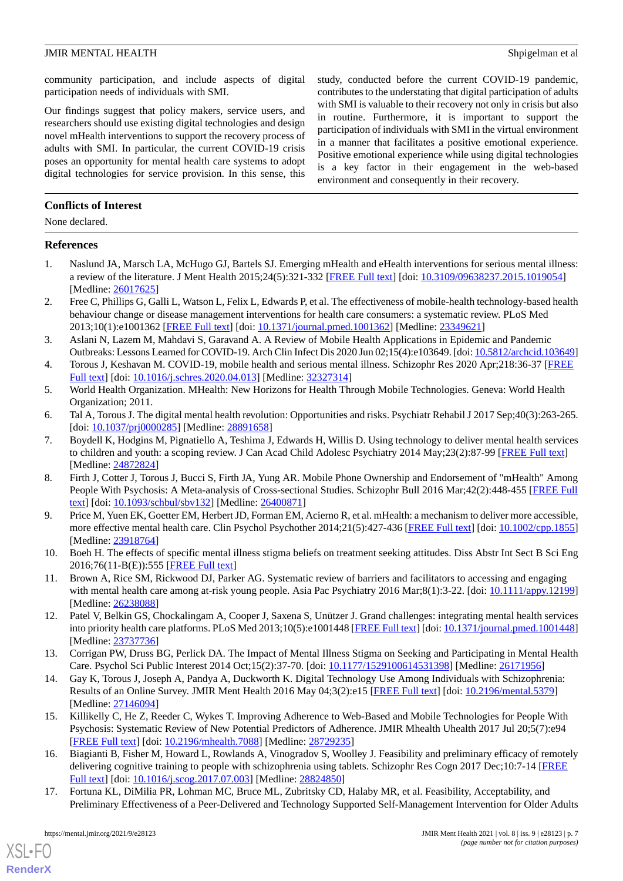community participation, and include aspects of digital participation needs of individuals with SMI.

Our findings suggest that policy makers, service users, and researchers should use existing digital technologies and design novel mHealth interventions to support the recovery process of adults with SMI. In particular, the current COVID-19 crisis poses an opportunity for mental health care systems to adopt digital technologies for service provision. In this sense, this study, conducted before the current COVID-19 pandemic, contributes to the understating that digital participation of adults with SMI is valuable to their recovery not only in crisis but also in routine. Furthermore, it is important to support the participation of individuals with SMI in the virtual environment in a manner that facilitates a positive emotional experience. Positive emotional experience while using digital technologies is a key factor in their engagement in the web-based environment and consequently in their recovery.

# **Conflicts of Interest**

None declared.

# <span id="page-6-0"></span>**References**

- 1. Naslund JA, Marsch LA, McHugo GJ, Bartels SJ. Emerging mHealth and eHealth interventions for serious mental illness: a review of the literature. J Ment Health 2015;24(5):321-332 [[FREE Full text](http://europepmc.org/abstract/MED/26017625)] [doi: [10.3109/09638237.2015.1019054\]](http://dx.doi.org/10.3109/09638237.2015.1019054) [Medline: [26017625](http://www.ncbi.nlm.nih.gov/entrez/query.fcgi?cmd=Retrieve&db=PubMed&list_uids=26017625&dopt=Abstract)]
- 2. Free C, Phillips G, Galli L, Watson L, Felix L, Edwards P, et al. The effectiveness of mobile-health technology-based health behaviour change or disease management interventions for health care consumers: a systematic review. PLoS Med 2013;10(1):e1001362 [\[FREE Full text](https://dx.plos.org/10.1371/journal.pmed.1001362)] [doi: [10.1371/journal.pmed.1001362](http://dx.doi.org/10.1371/journal.pmed.1001362)] [Medline: [23349621](http://www.ncbi.nlm.nih.gov/entrez/query.fcgi?cmd=Retrieve&db=PubMed&list_uids=23349621&dopt=Abstract)]
- <span id="page-6-1"></span>3. Aslani N, Lazem M, Mahdavi S, Garavand A. A Review of Mobile Health Applications in Epidemic and Pandemic Outbreaks: Lessons Learned for COVID-19. Arch Clin Infect Dis 2020 Jun 02;15(4):e103649. [doi: [10.5812/archcid.103649\]](http://dx.doi.org/10.5812/archcid.103649)
- <span id="page-6-3"></span><span id="page-6-2"></span>4. Torous J, Keshavan M. COVID-19, mobile health and serious mental illness. Schizophr Res 2020 Apr;218:36-37 [[FREE](http://europepmc.org/abstract/MED/32327314) [Full text\]](http://europepmc.org/abstract/MED/32327314) [doi: [10.1016/j.schres.2020.04.013](http://dx.doi.org/10.1016/j.schres.2020.04.013)] [Medline: [32327314](http://www.ncbi.nlm.nih.gov/entrez/query.fcgi?cmd=Retrieve&db=PubMed&list_uids=32327314&dopt=Abstract)]
- 5. World Health Organization. MHealth: New Horizons for Health Through Mobile Technologies. Geneva: World Health Organization; 2011.
- 6. Tal A, Torous J. The digital mental health revolution: Opportunities and risks. Psychiatr Rehabil J 2017 Sep;40(3):263-265. [doi: [10.1037/prj0000285](http://dx.doi.org/10.1037/prj0000285)] [Medline: [28891658](http://www.ncbi.nlm.nih.gov/entrez/query.fcgi?cmd=Retrieve&db=PubMed&list_uids=28891658&dopt=Abstract)]
- <span id="page-6-8"></span>7. Boydell K, Hodgins M, Pignatiello A, Teshima J, Edwards H, Willis D. Using technology to deliver mental health services to children and youth: a scoping review. J Can Acad Child Adolesc Psychiatry 2014 May;23(2):87-99 [\[FREE Full text\]](http://europepmc.org/abstract/MED/24872824) [Medline: [24872824](http://www.ncbi.nlm.nih.gov/entrez/query.fcgi?cmd=Retrieve&db=PubMed&list_uids=24872824&dopt=Abstract)]
- <span id="page-6-4"></span>8. Firth J, Cotter J, Torous J, Bucci S, Firth JA, Yung AR. Mobile Phone Ownership and Endorsement of "mHealth" Among People With Psychosis: A Meta-analysis of Cross-sectional Studies. Schizophr Bull 2016 Mar;42(2):448-455 [\[FREE Full](http://europepmc.org/abstract/MED/26400871) [text](http://europepmc.org/abstract/MED/26400871)] [doi: [10.1093/schbul/sbv132](http://dx.doi.org/10.1093/schbul/sbv132)] [Medline: [26400871](http://www.ncbi.nlm.nih.gov/entrez/query.fcgi?cmd=Retrieve&db=PubMed&list_uids=26400871&dopt=Abstract)]
- <span id="page-6-5"></span>9. Price M, Yuen EK, Goetter EM, Herbert JD, Forman EM, Acierno R, et al. mHealth: a mechanism to deliver more accessible, more effective mental health care. Clin Psychol Psychother 2014;21(5):427-436 [\[FREE Full text](http://europepmc.org/abstract/MED/23918764)] [doi: [10.1002/cpp.1855](http://dx.doi.org/10.1002/cpp.1855)] [Medline: [23918764](http://www.ncbi.nlm.nih.gov/entrez/query.fcgi?cmd=Retrieve&db=PubMed&list_uids=23918764&dopt=Abstract)]
- 10. Boeh H. The effects of specific mental illness stigma beliefs on treatment seeking attitudes. Diss Abstr Int Sect B Sci Eng 2016;76(11-B(E)):555 [\[FREE Full text\]](https://epublications.marquette.edu/cgi/viewcontent.cgi?article=1558&context=dissertations_mu)
- <span id="page-6-6"></span>11. Brown A, Rice SM, Rickwood DJ, Parker AG. Systematic review of barriers and facilitators to accessing and engaging with mental health care among at-risk young people. Asia Pac Psychiatry 2016 Mar;8(1):3-22. [doi: [10.1111/appy.12199\]](http://dx.doi.org/10.1111/appy.12199) [Medline: [26238088](http://www.ncbi.nlm.nih.gov/entrez/query.fcgi?cmd=Retrieve&db=PubMed&list_uids=26238088&dopt=Abstract)]
- <span id="page-6-7"></span>12. Patel V, Belkin GS, Chockalingam A, Cooper J, Saxena S, Unützer J. Grand challenges: integrating mental health services into priority health care platforms. PLoS Med 2013;10(5):e1001448 [\[FREE Full text](https://dx.plos.org/10.1371/journal.pmed.1001448)] [doi: [10.1371/journal.pmed.1001448\]](http://dx.doi.org/10.1371/journal.pmed.1001448) [Medline: [23737736](http://www.ncbi.nlm.nih.gov/entrez/query.fcgi?cmd=Retrieve&db=PubMed&list_uids=23737736&dopt=Abstract)]
- <span id="page-6-9"></span>13. Corrigan PW, Druss BG, Perlick DA. The Impact of Mental Illness Stigma on Seeking and Participating in Mental Health Care. Psychol Sci Public Interest 2014 Oct;15(2):37-70. [doi: [10.1177/1529100614531398\]](http://dx.doi.org/10.1177/1529100614531398) [Medline: [26171956](http://www.ncbi.nlm.nih.gov/entrez/query.fcgi?cmd=Retrieve&db=PubMed&list_uids=26171956&dopt=Abstract)]
- 14. Gay K, Torous J, Joseph A, Pandya A, Duckworth K. Digital Technology Use Among Individuals with Schizophrenia: Results of an Online Survey. JMIR Ment Health 2016 May 04;3(2):e15 [\[FREE Full text\]](https://mental.jmir.org/2016/2/e15/) [doi: [10.2196/mental.5379\]](http://dx.doi.org/10.2196/mental.5379) [Medline: [27146094](http://www.ncbi.nlm.nih.gov/entrez/query.fcgi?cmd=Retrieve&db=PubMed&list_uids=27146094&dopt=Abstract)]
- 15. Killikelly C, He Z, Reeder C, Wykes T. Improving Adherence to Web-Based and Mobile Technologies for People With Psychosis: Systematic Review of New Potential Predictors of Adherence. JMIR Mhealth Uhealth 2017 Jul 20;5(7):e94 [[FREE Full text](https://mhealth.jmir.org/2017/7/e94/)] [doi: [10.2196/mhealth.7088\]](http://dx.doi.org/10.2196/mhealth.7088) [Medline: [28729235](http://www.ncbi.nlm.nih.gov/entrez/query.fcgi?cmd=Retrieve&db=PubMed&list_uids=28729235&dopt=Abstract)]
- 16. Biagianti B, Fisher M, Howard L, Rowlands A, Vinogradov S, Woolley J. Feasibility and preliminary efficacy of remotely delivering cognitive training to people with schizophrenia using tablets. Schizophr Res Cogn 2017 Dec;10:7-14 [\[FREE](https://linkinghub.elsevier.com/retrieve/pii/S2215-0013(17)30007-0) [Full text\]](https://linkinghub.elsevier.com/retrieve/pii/S2215-0013(17)30007-0) [doi: [10.1016/j.scog.2017.07.003\]](http://dx.doi.org/10.1016/j.scog.2017.07.003) [Medline: [28824850](http://www.ncbi.nlm.nih.gov/entrez/query.fcgi?cmd=Retrieve&db=PubMed&list_uids=28824850&dopt=Abstract)]
- 17. Fortuna KL, DiMilia PR, Lohman MC, Bruce ML, Zubritsky CD, Halaby MR, et al. Feasibility, Acceptability, and Preliminary Effectiveness of a Peer-Delivered and Technology Supported Self-Management Intervention for Older Adults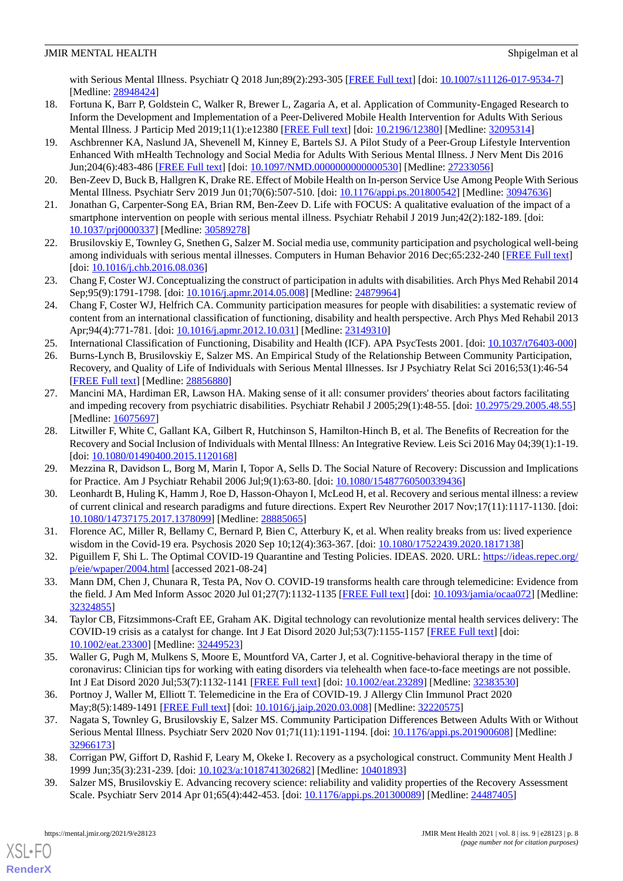with Serious Mental Illness. Psychiatr Q 2018 Jun;89(2):293-305 [[FREE Full text\]](http://europepmc.org/abstract/MED/28948424) [doi: [10.1007/s11126-017-9534-7](http://dx.doi.org/10.1007/s11126-017-9534-7)] [Medline: [28948424](http://www.ncbi.nlm.nih.gov/entrez/query.fcgi?cmd=Retrieve&db=PubMed&list_uids=28948424&dopt=Abstract)]

- <span id="page-7-0"></span>18. Fortuna K, Barr P, Goldstein C, Walker R, Brewer L, Zagaria A, et al. Application of Community-Engaged Research to Inform the Development and Implementation of a Peer-Delivered Mobile Health Intervention for Adults With Serious Mental Illness. J Particip Med 2019;11(1):e12380 [[FREE Full text](https://jopm.jmir.org/2019/1/e12380/)] [doi: [10.2196/12380\]](http://dx.doi.org/10.2196/12380) [Medline: [32095314](http://www.ncbi.nlm.nih.gov/entrez/query.fcgi?cmd=Retrieve&db=PubMed&list_uids=32095314&dopt=Abstract)]
- <span id="page-7-1"></span>19. Aschbrenner KA, Naslund JA, Shevenell M, Kinney E, Bartels SJ. A Pilot Study of a Peer-Group Lifestyle Intervention Enhanced With mHealth Technology and Social Media for Adults With Serious Mental Illness. J Nerv Ment Dis 2016 Jun;204(6):483-486 [[FREE Full text](http://europepmc.org/abstract/MED/27233056)] [doi: [10.1097/NMD.0000000000000530](http://dx.doi.org/10.1097/NMD.0000000000000530)] [Medline: [27233056](http://www.ncbi.nlm.nih.gov/entrez/query.fcgi?cmd=Retrieve&db=PubMed&list_uids=27233056&dopt=Abstract)]
- <span id="page-7-2"></span>20. Ben-Zeev D, Buck B, Hallgren K, Drake RE. Effect of Mobile Health on In-person Service Use Among People With Serious Mental Illness. Psychiatr Serv 2019 Jun 01;70(6):507-510. [doi: [10.1176/appi.ps.201800542](http://dx.doi.org/10.1176/appi.ps.201800542)] [Medline: [30947636](http://www.ncbi.nlm.nih.gov/entrez/query.fcgi?cmd=Retrieve&db=PubMed&list_uids=30947636&dopt=Abstract)]
- <span id="page-7-3"></span>21. Jonathan G, Carpenter-Song EA, Brian RM, Ben-Zeev D. Life with FOCUS: A qualitative evaluation of the impact of a smartphone intervention on people with serious mental illness. Psychiatr Rehabil J 2019 Jun;42(2):182-189. [doi: [10.1037/prj0000337\]](http://dx.doi.org/10.1037/prj0000337) [Medline: [30589278\]](http://www.ncbi.nlm.nih.gov/entrez/query.fcgi?cmd=Retrieve&db=PubMed&list_uids=30589278&dopt=Abstract)
- <span id="page-7-4"></span>22. Brusilovskiy E, Townley G, Snethen G, Salzer M. Social media use, community participation and psychological well-being among individuals with serious mental illnesses. Computers in Human Behavior 2016 Dec;65:232-240 [[FREE Full text\]](https://doi.org/10.1016/j.chb.2016.08.036) [doi: [10.1016/j.chb.2016.08.036](http://dx.doi.org/10.1016/j.chb.2016.08.036)]
- 23. Chang F, Coster WJ. Conceptualizing the construct of participation in adults with disabilities. Arch Phys Med Rehabil 2014 Sep;95(9):1791-1798. [doi: [10.1016/j.apmr.2014.05.008\]](http://dx.doi.org/10.1016/j.apmr.2014.05.008) [Medline: [24879964](http://www.ncbi.nlm.nih.gov/entrez/query.fcgi?cmd=Retrieve&db=PubMed&list_uids=24879964&dopt=Abstract)]
- <span id="page-7-6"></span><span id="page-7-5"></span>24. Chang F, Coster WJ, Helfrich CA. Community participation measures for people with disabilities: a systematic review of content from an international classification of functioning, disability and health perspective. Arch Phys Med Rehabil 2013 Apr;94(4):771-781. [doi: [10.1016/j.apmr.2012.10.031](http://dx.doi.org/10.1016/j.apmr.2012.10.031)] [Medline: [23149310\]](http://www.ncbi.nlm.nih.gov/entrez/query.fcgi?cmd=Retrieve&db=PubMed&list_uids=23149310&dopt=Abstract)
- 25. International Classification of Functioning, Disability and Health (ICF). APA PsycTests 2001. [doi: [10.1037/t76403-000](http://dx.doi.org/10.1037/t76403-000)]
- 26. Burns-Lynch B, Brusilovskiy E, Salzer MS. An Empirical Study of the Relationship Between Community Participation, Recovery, and Quality of Life of Individuals with Serious Mental Illnesses. Isr J Psychiatry Relat Sci 2016;53(1):46-54 [[FREE Full text](https://cdn.doctorsonly.co.il/2016/08/09_Burns-Lynch_An-Empirical-Study.pdf)] [Medline: [28856880](http://www.ncbi.nlm.nih.gov/entrez/query.fcgi?cmd=Retrieve&db=PubMed&list_uids=28856880&dopt=Abstract)]
- <span id="page-7-7"></span>27. Mancini MA, Hardiman ER, Lawson HA. Making sense of it all: consumer providers' theories about factors facilitating and impeding recovery from psychiatric disabilities. Psychiatr Rehabil J 2005;29(1):48-55. [doi: [10.2975/29.2005.48.55](http://dx.doi.org/10.2975/29.2005.48.55)] [Medline: [16075697](http://www.ncbi.nlm.nih.gov/entrez/query.fcgi?cmd=Retrieve&db=PubMed&list_uids=16075697&dopt=Abstract)]
- <span id="page-7-9"></span><span id="page-7-8"></span>28. Litwiller F, White C, Gallant KA, Gilbert R, Hutchinson S, Hamilton-Hinch B, et al. The Benefits of Recreation for the Recovery and Social Inclusion of Individuals with Mental Illness: An Integrative Review. Leis Sci 2016 May 04;39(1):1-19. [doi: [10.1080/01490400.2015.1120168](http://dx.doi.org/10.1080/01490400.2015.1120168)]
- <span id="page-7-10"></span>29. Mezzina R, Davidson L, Borg M, Marin I, Topor A, Sells D. The Social Nature of Recovery: Discussion and Implications for Practice. Am J Psychiatr Rehabil 2006 Jul;9(1):63-80. [doi: [10.1080/15487760500339436\]](http://dx.doi.org/10.1080/15487760500339436)
- <span id="page-7-11"></span>30. Leonhardt B, Huling K, Hamm J, Roe D, Hasson-Ohayon I, McLeod H, et al. Recovery and serious mental illness: a review of current clinical and research paradigms and future directions. Expert Rev Neurother 2017 Nov;17(11):1117-1130. [doi: [10.1080/14737175.2017.1378099\]](http://dx.doi.org/10.1080/14737175.2017.1378099) [Medline: [28885065\]](http://www.ncbi.nlm.nih.gov/entrez/query.fcgi?cmd=Retrieve&db=PubMed&list_uids=28885065&dopt=Abstract)
- <span id="page-7-12"></span>31. Florence AC, Miller R, Bellamy C, Bernard P, Bien C, Atterbury K, et al. When reality breaks from us: lived experience wisdom in the Covid-19 era. Psychosis 2020 Sep 10;12(4):363-367. [doi: [10.1080/17522439.2020.1817138](http://dx.doi.org/10.1080/17522439.2020.1817138)]
- 32. Piguillem F, Shi L. The Optimal COVID-19 Quarantine and Testing Policies. IDEAS. 2020. URL: [https://ideas.repec.org/](https://ideas.repec.org/p/eie/wpaper/2004.html) [p/eie/wpaper/2004.html](https://ideas.repec.org/p/eie/wpaper/2004.html) [accessed 2021-08-24]
- 33. Mann DM, Chen J, Chunara R, Testa PA, Nov O. COVID-19 transforms health care through telemedicine: Evidence from the field. J Am Med Inform Assoc 2020 Jul 01;27(7):1132-1135 [\[FREE Full text](http://europepmc.org/abstract/MED/32324855)] [doi: [10.1093/jamia/ocaa072\]](http://dx.doi.org/10.1093/jamia/ocaa072) [Medline: [32324855](http://www.ncbi.nlm.nih.gov/entrez/query.fcgi?cmd=Retrieve&db=PubMed&list_uids=32324855&dopt=Abstract)]
- <span id="page-7-13"></span>34. Taylor CB, Fitzsimmons-Craft EE, Graham AK. Digital technology can revolutionize mental health services delivery: The COVID-19 crisis as a catalyst for change. Int J Eat Disord 2020 Jul;53(7):1155-1157 [[FREE Full text\]](http://europepmc.org/abstract/MED/32449523) [doi: [10.1002/eat.23300\]](http://dx.doi.org/10.1002/eat.23300) [Medline: [32449523\]](http://www.ncbi.nlm.nih.gov/entrez/query.fcgi?cmd=Retrieve&db=PubMed&list_uids=32449523&dopt=Abstract)
- <span id="page-7-14"></span>35. Waller G, Pugh M, Mulkens S, Moore E, Mountford VA, Carter J, et al. Cognitive-behavioral therapy in the time of coronavirus: Clinician tips for working with eating disorders via telehealth when face-to-face meetings are not possible. Int J Eat Disord 2020 Jul;53(7):1132-1141 [[FREE Full text](http://europepmc.org/abstract/MED/32383530)] [doi: [10.1002/eat.23289\]](http://dx.doi.org/10.1002/eat.23289) [Medline: [32383530](http://www.ncbi.nlm.nih.gov/entrez/query.fcgi?cmd=Retrieve&db=PubMed&list_uids=32383530&dopt=Abstract)]
- <span id="page-7-16"></span><span id="page-7-15"></span>36. Portnoy J, Waller M, Elliott T. Telemedicine in the Era of COVID-19. J Allergy Clin Immunol Pract 2020 May;8(5):1489-1491 [\[FREE Full text\]](http://europepmc.org/abstract/MED/32220575) [doi: [10.1016/j.jaip.2020.03.008\]](http://dx.doi.org/10.1016/j.jaip.2020.03.008) [Medline: [32220575\]](http://www.ncbi.nlm.nih.gov/entrez/query.fcgi?cmd=Retrieve&db=PubMed&list_uids=32220575&dopt=Abstract)
- 37. Nagata S, Townley G, Brusilovskiy E, Salzer MS. Community Participation Differences Between Adults With or Without Serious Mental Illness. Psychiatr Serv 2020 Nov 01;71(11):1191-1194. [doi: [10.1176/appi.ps.201900608\]](http://dx.doi.org/10.1176/appi.ps.201900608) [Medline: [32966173](http://www.ncbi.nlm.nih.gov/entrez/query.fcgi?cmd=Retrieve&db=PubMed&list_uids=32966173&dopt=Abstract)]
- 38. Corrigan PW, Giffort D, Rashid F, Leary M, Okeke I. Recovery as a psychological construct. Community Ment Health J 1999 Jun;35(3):231-239. [doi: [10.1023/a:1018741302682](http://dx.doi.org/10.1023/a:1018741302682)] [Medline: [10401893](http://www.ncbi.nlm.nih.gov/entrez/query.fcgi?cmd=Retrieve&db=PubMed&list_uids=10401893&dopt=Abstract)]
- 39. Salzer MS, Brusilovskiy E. Advancing recovery science: reliability and validity properties of the Recovery Assessment Scale. Psychiatr Serv 2014 Apr 01;65(4):442-453. [doi: [10.1176/appi.ps.201300089\]](http://dx.doi.org/10.1176/appi.ps.201300089) [Medline: [24487405](http://www.ncbi.nlm.nih.gov/entrez/query.fcgi?cmd=Retrieve&db=PubMed&list_uids=24487405&dopt=Abstract)]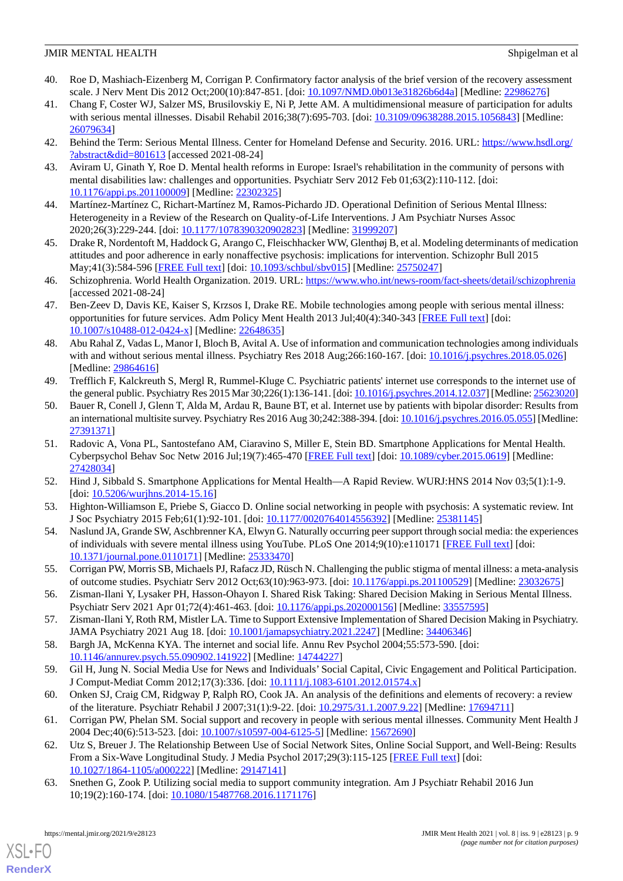- <span id="page-8-0"></span>40. Roe D, Mashiach-Eizenberg M, Corrigan P. Confirmatory factor analysis of the brief version of the recovery assessment scale. J Nerv Ment Dis 2012 Oct;200(10):847-851. [doi: [10.1097/NMD.0b013e31826b6d4a](http://dx.doi.org/10.1097/NMD.0b013e31826b6d4a)] [Medline: [22986276](http://www.ncbi.nlm.nih.gov/entrez/query.fcgi?cmd=Retrieve&db=PubMed&list_uids=22986276&dopt=Abstract)]
- <span id="page-8-1"></span>41. Chang F, Coster WJ, Salzer MS, Brusilovskiy E, Ni P, Jette AM. A multidimensional measure of participation for adults with serious mental illnesses. Disabil Rehabil 2016;38(7):695-703. [doi: [10.3109/09638288.2015.1056843\]](http://dx.doi.org/10.3109/09638288.2015.1056843) [Medline: [26079634](http://www.ncbi.nlm.nih.gov/entrez/query.fcgi?cmd=Retrieve&db=PubMed&list_uids=26079634&dopt=Abstract)]
- <span id="page-8-3"></span><span id="page-8-2"></span>42. Behind the Term: Serious Mental Illness. Center for Homeland Defense and Security. 2016. URL: [https://www.hsdl.org/](https://www.hsdl.org/?abstract&did=801613) [?abstract&did=801613](https://www.hsdl.org/?abstract&did=801613) [accessed 2021-08-24]
- <span id="page-8-4"></span>43. Aviram U, Ginath Y, Roe D. Mental health reforms in Europe: Israel's rehabilitation in the community of persons with mental disabilities law: challenges and opportunities. Psychiatr Serv 2012 Feb 01;63(2):110-112. [doi: [10.1176/appi.ps.201100009\]](http://dx.doi.org/10.1176/appi.ps.201100009) [Medline: [22302325\]](http://www.ncbi.nlm.nih.gov/entrez/query.fcgi?cmd=Retrieve&db=PubMed&list_uids=22302325&dopt=Abstract)
- <span id="page-8-5"></span>44. Martínez-Martínez C, Richart-Martínez M, Ramos-Pichardo JD. Operational Definition of Serious Mental Illness: Heterogeneity in a Review of the Research on Quality-of-Life Interventions. J Am Psychiatr Nurses Assoc 2020;26(3):229-244. [doi: [10.1177/1078390320902823\]](http://dx.doi.org/10.1177/1078390320902823) [Medline: [31999207](http://www.ncbi.nlm.nih.gov/entrez/query.fcgi?cmd=Retrieve&db=PubMed&list_uids=31999207&dopt=Abstract)]
- <span id="page-8-6"></span>45. Drake R, Nordentoft M, Haddock G, Arango C, Fleischhacker WW, Glenthøj B, et al. Modeling determinants of medication attitudes and poor adherence in early nonaffective psychosis: implications for intervention. Schizophr Bull 2015 May;41(3):584-596 [\[FREE Full text\]](http://europepmc.org/abstract/MED/25750247) [doi: [10.1093/schbul/sbv015\]](http://dx.doi.org/10.1093/schbul/sbv015) [Medline: [25750247](http://www.ncbi.nlm.nih.gov/entrez/query.fcgi?cmd=Retrieve&db=PubMed&list_uids=25750247&dopt=Abstract)]
- <span id="page-8-7"></span>46. Schizophrenia. World Health Organization. 2019. URL:<https://www.who.int/news-room/fact-sheets/detail/schizophrenia> [accessed 2021-08-24]
- <span id="page-8-8"></span>47. Ben-Zeev D, Davis KE, Kaiser S, Krzsos I, Drake RE. Mobile technologies among people with serious mental illness: opportunities for future services. Adm Policy Ment Health 2013 Jul;40(4):340-343 [\[FREE Full text\]](http://europepmc.org/abstract/MED/22648635) [doi: [10.1007/s10488-012-0424-x\]](http://dx.doi.org/10.1007/s10488-012-0424-x) [Medline: [22648635](http://www.ncbi.nlm.nih.gov/entrez/query.fcgi?cmd=Retrieve&db=PubMed&list_uids=22648635&dopt=Abstract)]
- <span id="page-8-9"></span>48. Abu Rahal Z, Vadas L, Manor I, Bloch B, Avital A. Use of information and communication technologies among individuals with and without serious mental illness. Psychiatry Res 2018 Aug;266:160-167. [doi: [10.1016/j.psychres.2018.05.026](http://dx.doi.org/10.1016/j.psychres.2018.05.026)] [Medline: [29864616](http://www.ncbi.nlm.nih.gov/entrez/query.fcgi?cmd=Retrieve&db=PubMed&list_uids=29864616&dopt=Abstract)]
- <span id="page-8-10"></span>49. Trefflich F, Kalckreuth S, Mergl R, Rummel-Kluge C. Psychiatric patients' internet use corresponds to the internet use of the general public. Psychiatry Res 2015 Mar 30;226(1):136-141. [doi: [10.1016/j.psychres.2014.12.037](http://dx.doi.org/10.1016/j.psychres.2014.12.037)] [Medline: [25623020](http://www.ncbi.nlm.nih.gov/entrez/query.fcgi?cmd=Retrieve&db=PubMed&list_uids=25623020&dopt=Abstract)]
- <span id="page-8-11"></span>50. Bauer R, Conell J, Glenn T, Alda M, Ardau R, Baune BT, et al. Internet use by patients with bipolar disorder: Results from an international multisite survey. Psychiatry Res 2016 Aug 30;242:388-394. [doi: [10.1016/j.psychres.2016.05.055\]](http://dx.doi.org/10.1016/j.psychres.2016.05.055) [Medline: [27391371](http://www.ncbi.nlm.nih.gov/entrez/query.fcgi?cmd=Retrieve&db=PubMed&list_uids=27391371&dopt=Abstract)]
- <span id="page-8-13"></span><span id="page-8-12"></span>51. Radovic A, Vona PL, Santostefano AM, Ciaravino S, Miller E, Stein BD. Smartphone Applications for Mental Health. Cyberpsychol Behav Soc Netw 2016 Jul;19(7):465-470 [[FREE Full text](http://europepmc.org/abstract/MED/27428034)] [doi: [10.1089/cyber.2015.0619](http://dx.doi.org/10.1089/cyber.2015.0619)] [Medline: [27428034](http://www.ncbi.nlm.nih.gov/entrez/query.fcgi?cmd=Retrieve&db=PubMed&list_uids=27428034&dopt=Abstract)]
- <span id="page-8-14"></span>52. Hind J, Sibbald S. Smartphone Applications for Mental Health—A Rapid Review. WURJ:HNS 2014 Nov 03;5(1):1-9. [doi: [10.5206/wurjhns.2014-15.16\]](http://dx.doi.org/10.5206/wurjhns.2014-15.16)
- <span id="page-8-15"></span>53. Highton-Williamson E, Priebe S, Giacco D. Online social networking in people with psychosis: A systematic review. Int J Soc Psychiatry 2015 Feb;61(1):92-101. [doi: [10.1177/0020764014556392\]](http://dx.doi.org/10.1177/0020764014556392) [Medline: [25381145\]](http://www.ncbi.nlm.nih.gov/entrez/query.fcgi?cmd=Retrieve&db=PubMed&list_uids=25381145&dopt=Abstract)
- 54. Naslund JA, Grande SW, Aschbrenner KA, Elwyn G. Naturally occurring peer support through social media: the experiences of individuals with severe mental illness using YouTube. PLoS One 2014;9(10):e110171 [\[FREE Full text\]](https://dx.plos.org/10.1371/journal.pone.0110171) [doi: [10.1371/journal.pone.0110171\]](http://dx.doi.org/10.1371/journal.pone.0110171) [Medline: [25333470](http://www.ncbi.nlm.nih.gov/entrez/query.fcgi?cmd=Retrieve&db=PubMed&list_uids=25333470&dopt=Abstract)]
- <span id="page-8-17"></span><span id="page-8-16"></span>55. Corrigan PW, Morris SB, Michaels PJ, Rafacz JD, Rüsch N. Challenging the public stigma of mental illness: a meta-analysis of outcome studies. Psychiatr Serv 2012 Oct;63(10):963-973. [doi: [10.1176/appi.ps.201100529\]](http://dx.doi.org/10.1176/appi.ps.201100529) [Medline: [23032675\]](http://www.ncbi.nlm.nih.gov/entrez/query.fcgi?cmd=Retrieve&db=PubMed&list_uids=23032675&dopt=Abstract)
- <span id="page-8-18"></span>56. Zisman-Ilani Y, Lysaker PH, Hasson-Ohayon I. Shared Risk Taking: Shared Decision Making in Serious Mental Illness. Psychiatr Serv 2021 Apr 01;72(4):461-463. [doi: [10.1176/appi.ps.202000156\]](http://dx.doi.org/10.1176/appi.ps.202000156) [Medline: [33557595\]](http://www.ncbi.nlm.nih.gov/entrez/query.fcgi?cmd=Retrieve&db=PubMed&list_uids=33557595&dopt=Abstract)
- <span id="page-8-19"></span>57. Zisman-Ilani Y, Roth RM, Mistler LA. Time to Support Extensive Implementation of Shared Decision Making in Psychiatry. JAMA Psychiatry 2021 Aug 18. [doi: [10.1001/jamapsychiatry.2021.2247\]](http://dx.doi.org/10.1001/jamapsychiatry.2021.2247) [Medline: [34406346\]](http://www.ncbi.nlm.nih.gov/entrez/query.fcgi?cmd=Retrieve&db=PubMed&list_uids=34406346&dopt=Abstract)
- <span id="page-8-20"></span>58. Bargh JA, McKenna KYA. The internet and social life. Annu Rev Psychol 2004;55:573-590. [doi: [10.1146/annurev.psych.55.090902.141922](http://dx.doi.org/10.1146/annurev.psych.55.090902.141922)] [Medline: [14744227](http://www.ncbi.nlm.nih.gov/entrez/query.fcgi?cmd=Retrieve&db=PubMed&list_uids=14744227&dopt=Abstract)]
- <span id="page-8-21"></span>59. Gil H, Jung N. Social Media Use for News and Individuals'Social Capital, Civic Engagement and Political Participation. J Comput-Mediat Comm 2012;17(3):336. [doi: [10.1111/j.1083-6101.2012.01574.x](http://dx.doi.org/10.1111/j.1083-6101.2012.01574.x)]
- <span id="page-8-22"></span>60. Onken SJ, Craig CM, Ridgway P, Ralph RO, Cook JA. An analysis of the definitions and elements of recovery: a review of the literature. Psychiatr Rehabil J 2007;31(1):9-22. [doi: [10.2975/31.1.2007.9.22](http://dx.doi.org/10.2975/31.1.2007.9.22)] [Medline: [17694711\]](http://www.ncbi.nlm.nih.gov/entrez/query.fcgi?cmd=Retrieve&db=PubMed&list_uids=17694711&dopt=Abstract)
- 61. Corrigan PW, Phelan SM. Social support and recovery in people with serious mental illnesses. Community Ment Health J 2004 Dec;40(6):513-523. [doi: [10.1007/s10597-004-6125-5](http://dx.doi.org/10.1007/s10597-004-6125-5)] [Medline: [15672690\]](http://www.ncbi.nlm.nih.gov/entrez/query.fcgi?cmd=Retrieve&db=PubMed&list_uids=15672690&dopt=Abstract)
- 62. Utz S, Breuer J. The Relationship Between Use of Social Network Sites, Online Social Support, and Well-Being: Results From a Six-Wave Longitudinal Study. J Media Psychol 2017;29(3):115-125 [[FREE Full text](https://econtent.hogrefe.com/doi/abs/10.1027/1864-1105/a000222?url_ver=Z39.88-2003&rfr_id=ori:rid:crossref.org&rfr_dat=cr_pub%3dpubmed)] [doi: [10.1027/1864-1105/a000222](http://dx.doi.org/10.1027/1864-1105/a000222)] [Medline: [29147141](http://www.ncbi.nlm.nih.gov/entrez/query.fcgi?cmd=Retrieve&db=PubMed&list_uids=29147141&dopt=Abstract)]
- 63. Snethen G, Zook P. Utilizing social media to support community integration. Am J Psychiatr Rehabil 2016 Jun 10;19(2):160-174. [doi: [10.1080/15487768.2016.1171176\]](http://dx.doi.org/10.1080/15487768.2016.1171176)